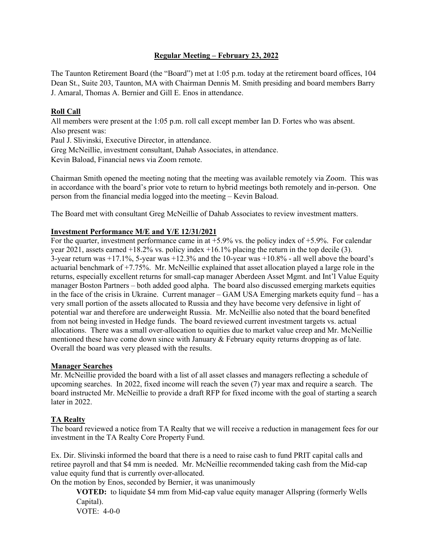# **Regular Meeting – February 23, 2022**

The Taunton Retirement Board (the "Board") met at 1:05 p.m. today at the retirement board offices, 104 Dean St., Suite 203, Taunton, MA with Chairman Dennis M. Smith presiding and board members Barry J. Amaral, Thomas A. Bernier and Gill E. Enos in attendance.

# **Roll Call**

All members were present at the 1:05 p.m. roll call except member Ian D. Fortes who was absent. Also present was:

Paul J. Slivinski, Executive Director, in attendance.

Greg McNeillie, investment consultant, Dahab Associates, in attendance.

Kevin Baload, Financial news via Zoom remote.

Chairman Smith opened the meeting noting that the meeting was available remotely via Zoom. This was in accordance with the board's prior vote to return to hybrid meetings both remotely and in-person. One person from the financial media logged into the meeting – Kevin Baload.

The Board met with consultant Greg McNeillie of Dahab Associates to review investment matters.

# **Investment Performance M/E and Y/E 12/31/2021**

For the quarter, investment performance came in at  $+5.9\%$  vs. the policy index of  $+5.9\%$ . For calendar year 2021, assets earned  $+18.2\%$  vs. policy index  $+16.1\%$  placing the return in the top decile (3). 3-year return was +17.1%, 5-year was +12.3% and the 10-year was +10.8% - all well above the board's actuarial benchmark of +7.75%. Mr. McNeillie explained that asset allocation played a large role in the returns, especially excellent returns for small-cap manager Aberdeen Asset Mgmt. and Int'l Value Equity manager Boston Partners – both added good alpha. The board also discussed emerging markets equities in the face of the crisis in Ukraine. Current manager – GAM USA Emerging markets equity fund – has a very small portion of the assets allocated to Russia and they have become very defensive in light of potential war and therefore are underweight Russia. Mr. McNeillie also noted that the board benefited from not being invested in Hedge funds. The board reviewed current investment targets vs. actual allocations. There was a small over-allocation to equities due to market value creep and Mr. McNeillie mentioned these have come down since with January & February equity returns dropping as of late. Overall the board was very pleased with the results.

#### **Manager Searches**

Mr. McNeillie provided the board with a list of all asset classes and managers reflecting a schedule of upcoming searches. In 2022, fixed income will reach the seven (7) year max and require a search. The board instructed Mr. McNeillie to provide a draft RFP for fixed income with the goal of starting a search later in 2022.

# **TA Realty**

The board reviewed a notice from TA Realty that we will receive a reduction in management fees for our investment in the TA Realty Core Property Fund.

Ex. Dir. Slivinski informed the board that there is a need to raise cash to fund PRIT capital calls and retiree payroll and that \$4 mm is needed. Mr. McNeillie recommended taking cash from the Mid-cap value equity fund that is currently over-allocated.

On the motion by Enos, seconded by Bernier, it was unanimously

**VOTED:** to liquidate \$4 mm from Mid-cap value equity manager Allspring (formerly Wells Capital). VOTE: 4-0-0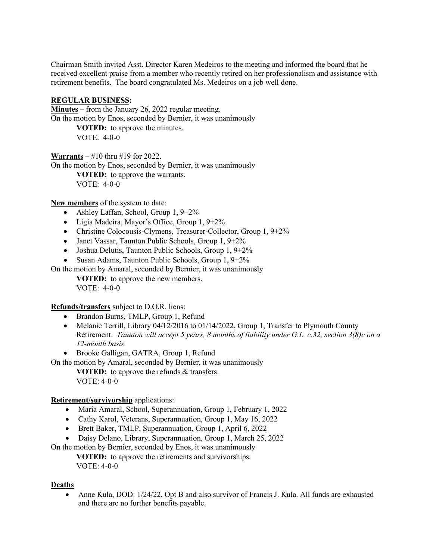Chairman Smith invited Asst. Director Karen Medeiros to the meeting and informed the board that he received excellent praise from a member who recently retired on her professionalism and assistance with retirement benefits. The board congratulated Ms. Medeiros on a job well done.

#### **REGULAR BUSINESS:**

**Minutes** – from the January 26, 2022 regular meeting. On the motion by Enos, seconded by Bernier, it was unanimously **VOTED:** to approve the minutes. VOTE: 4-0-0

**Warrants** – #10 thru #19 for 2022. On the motion by Enos, seconded by Bernier, it was unanimously **VOTED:** to approve the warrants. VOTE: 4-0-0

**New members** of the system to date:

- Ashley Laffan, School, Group 1, 9+2%
- Ligia Madeira, Mayor's Office, Group 1, 9+2%
- Christine Colocousis-Clymens, Treasurer-Collector, Group 1, 9+2%
- Janet Vassar, Taunton Public Schools, Group 1, 9+2%
- Joshua Delutis, Taunton Public Schools, Group 1, 9+2%
- Susan Adams, Taunton Public Schools, Group 1, 9+2%

On the motion by Amaral, seconded by Bernier, it was unanimously

**VOTED:** to approve the new members.

VOTE: 4-0-0

**Refunds/transfers** subject to D.O.R. liens:

- Brandon Burns, TMLP, Group 1, Refund
- Melanie Terrill, Library 04/12/2016 to 01/14/2022, Group 1, Transfer to Plymouth County Retirement. *Taunton will accept 5 years, 8 months of liability under G.L. c.32, section 3(8)c on a 12-month basis.*
- Brooke Galligan, GATRA, Group 1, Refund

On the motion by Amaral, seconded by Bernier, it was unanimously

**VOTED:** to approve the refunds & transfers. VOTE: 4-0-0

# **Retirement/survivorship** applications:

- Maria Amaral, School, Superannuation, Group 1, February 1, 2022
- Cathy Karol, Veterans, Superannuation, Group 1, May 16, 2022
- Brett Baker, TMLP, Superannuation, Group 1, April 6, 2022
- Daisy Delano, Library, Superannuation, Group 1, March 25, 2022

On the motion by Bernier, seconded by Enos, it was unanimously

**VOTED:** to approve the retirements and survivorships. VOTE: 4-0-0

# **Deaths**

• Anne Kula, DOD: 1/24/22, Opt B and also survivor of Francis J. Kula. All funds are exhausted and there are no further benefits payable.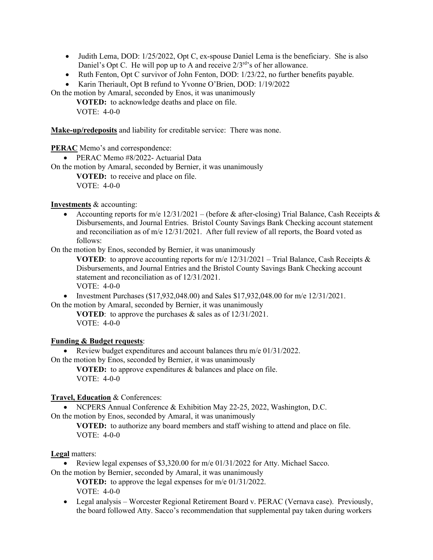- Judith Lema, DOD: 1/25/2022, Opt C, ex-spouse Daniel Lema is the beneficiary. She is also Daniel's Opt C. He will pop up to A and receive  $2/3^{rd}$ 's of her allowance.
- Ruth Fenton, Opt C survivor of John Fenton, DOD: 1/23/22, no further benefits payable.

• Karin Theriault, Opt B refund to Yvonne O'Brien, DOD: 1/19/2022

On the motion by Amaral, seconded by Enos, it was unanimously

**VOTED:** to acknowledge deaths and place on file.

VOTE: 4-0-0

**Make-up/redeposits** and liability for creditable service: There was none.

**PERAC** Memo's and correspondence:

• PERAC Memo #8/2022- Actuarial Data

On the motion by Amaral, seconded by Bernier, it was unanimously

**VOTED:** to receive and place on file.

VOTE: 4-0-0

**Investments** & accounting:

• Accounting reports for m/e  $12/31/2021$  – (before & after-closing) Trial Balance, Cash Receipts & Disbursements, and Journal Entries. Bristol County Savings Bank Checking account statement and reconciliation as of m/e 12/31/2021. After full review of all reports, the Board voted as follows:

On the motion by Enos, seconded by Bernier, it was unanimously

**VOTED:** to approve accounting reports for m/e  $12/31/2021$  – Trial Balance, Cash Receipts & Disbursements, and Journal Entries and the Bristol County Savings Bank Checking account statement and reconciliation as of 12/31/2021. VOTE:  $4-0-0$ 

• Investment Purchases  $(\$17,932,048.00)$  and Sales  $\$17,932,048.00$  for m/e  $12/31/2021$ . On the motion by Amaral, seconded by Bernier, it was unanimously

**VOTED**: to approve the purchases & sales as of 12/31/2021. VOTE: 4-0-0

# **Funding & Budget requests**:

• Review budget expenditures and account balances thru m/e 01/31/2022.

On the motion by Enos, seconded by Bernier, it was unanimously

**VOTED:** to approve expenditures & balances and place on file. VOTE: 4-0-0

# **Travel, Education** & Conferences:

• NCPERS Annual Conference & Exhibition May 22-25, 2022, Washington, D.C.

On the motion by Enos, seconded by Amaral, it was unanimously

**VOTED:** to authorize any board members and staff wishing to attend and place on file. VOTE: 4-0-0

#### **Legal** matters:

• Review legal expenses of \$3,320.00 for m/e 01/31/2022 for Atty. Michael Sacco.

On the motion by Bernier, seconded by Amaral, it was unanimously **VOTED:** to approve the legal expenses for m/e 01/31/2022.

VOTE: 4-0-0

• Legal analysis – Worcester Regional Retirement Board v. PERAC (Vernava case). Previously, the board followed Atty. Sacco's recommendation that supplemental pay taken during workers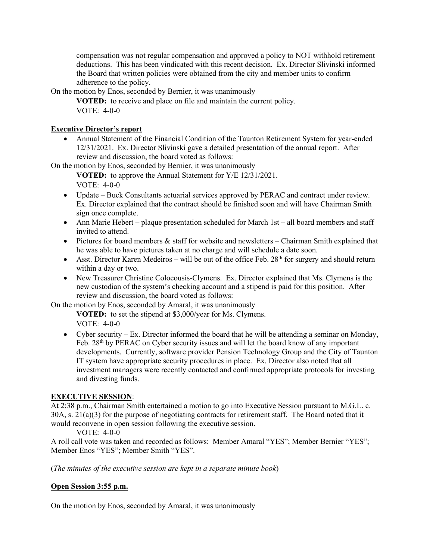compensation was not regular compensation and approved a policy to NOT withhold retirement deductions. This has been vindicated with this recent decision. Ex. Director Slivinski informed the Board that written policies were obtained from the city and member units to confirm adherence to the policy.

On the motion by Enos, seconded by Bernier, it was unanimously

**VOTED:** to receive and place on file and maintain the current policy. VOTE: 4-0-0

#### **Executive Director's report**

• Annual Statement of the Financial Condition of the Taunton Retirement System for year-ended 12/31/2021. Ex. Director Slivinski gave a detailed presentation of the annual report. After review and discussion, the board voted as follows:

On the motion by Enos, seconded by Bernier, it was unanimously

**VOTED:** to approve the Annual Statement for Y/E 12/31/2021.

VOTE: 4-0-0

- Update Buck Consultants actuarial services approved by PERAC and contract under review. Ex. Director explained that the contract should be finished soon and will have Chairman Smith sign once complete.
- Ann Marie Hebert plaque presentation scheduled for March 1st all board members and staff invited to attend.
- Pictures for board members & staff for website and newsletters Chairman Smith explained that he was able to have pictures taken at no charge and will schedule a date soon.
- Asst. Director Karen Medeiros will be out of the office Feb.  $28<sup>th</sup>$  for surgery and should return within a day or two.
- New Treasurer Christine Colocousis-Clymens. Ex. Director explained that Ms. Clymens is the new custodian of the system's checking account and a stipend is paid for this position. After review and discussion, the board voted as follows:

On the motion by Enos, seconded by Amaral, it was unanimously

**VOTED:** to set the stipend at \$3,000/year for Ms. Clymens. VOTE: 4-0-0

• Cyber security – Ex. Director informed the board that he will be attending a seminar on Monday, Feb. 28<sup>th</sup> by PERAC on Cyber security issues and will let the board know of any important developments. Currently, software provider Pension Technology Group and the City of Taunton IT system have appropriate security procedures in place. Ex. Director also noted that all investment managers were recently contacted and confirmed appropriate protocols for investing and divesting funds.

# **EXECUTIVE SESSION**:

At 2:38 p.m., Chairman Smith entertained a motion to go into Executive Session pursuant to M.G.L. c. 30A, s. 21(a)(3) for the purpose of negotiating contracts for retirement staff. The Board noted that it would reconvene in open session following the executive session.

VOTE: 4-0-0

A roll call vote was taken and recorded as follows: Member Amaral "YES"; Member Bernier "YES"; Member Enos "YES"; Member Smith "YES".

(*The minutes of the executive session are kept in a separate minute book*)

# **Open Session 3:55 p.m.**

On the motion by Enos, seconded by Amaral, it was unanimously